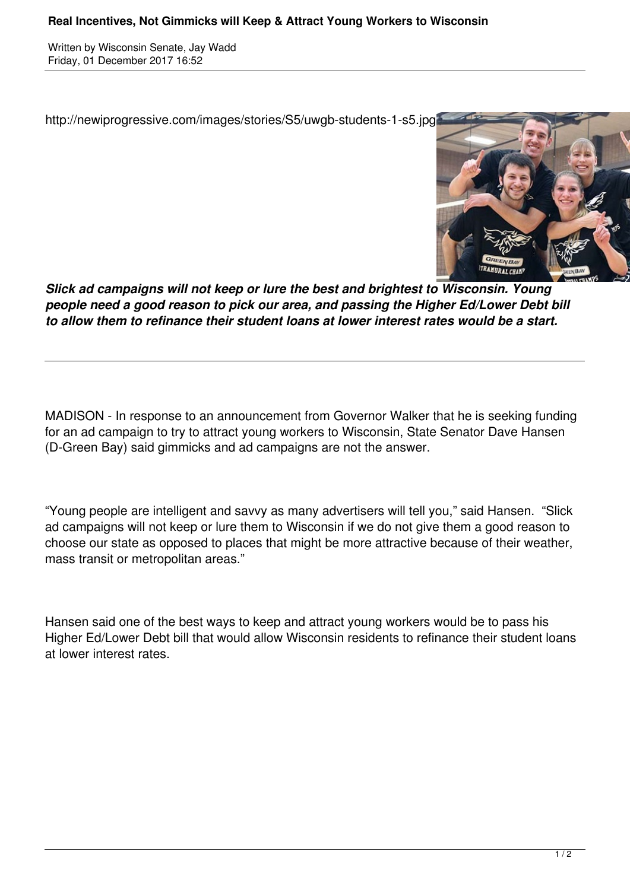Written by Wisconsin Senate, Jay Wadd Friday, 01 December 2017 16:52

http://newiprogressive.com/images/stories/S5/uwgb-students-1-s5.jpg



*Slick ad campaigns will not keep or lure the best and brightest to Wisconsin. Young people need a good reason to pick our area, and passing the Higher Ed/Lower Debt bill to allow them to refinance their student loans at lower interest rates would be a start.*

MADISON - In response to an announcement from Governor Walker that he is seeking funding for an ad campaign to try to attract young workers to Wisconsin, State Senator Dave Hansen (D-Green Bay) said gimmicks and ad campaigns are not the answer.

"Young people are intelligent and savvy as many advertisers will tell you," said Hansen. "Slick ad campaigns will not keep or lure them to Wisconsin if we do not give them a good reason to choose our state as opposed to places that might be more attractive because of their weather, mass transit or metropolitan areas."

Hansen said one of the best ways to keep and attract young workers would be to pass his Higher Ed/Lower Debt bill that would allow Wisconsin residents to refinance their student loans at lower interest rates.